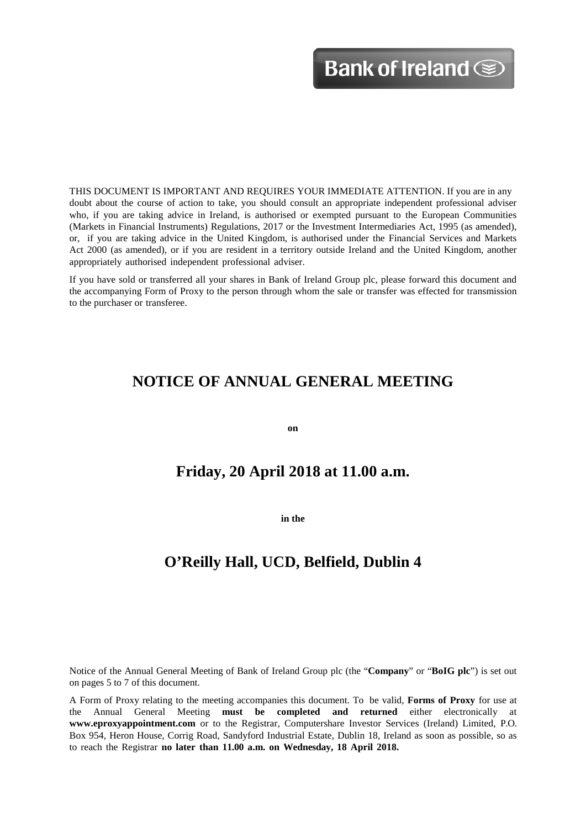THIS DOCUMENT IS IMPORTANT AND REQUIRES YOUR IMMEDIATE ATTENTION. If you are in any doubt about the course of action to take, you should consult an appropriate independent professional adviser who, if you are taking advice in Ireland, is authorised or exempted pursuant to the European Communities (Markets in Financial Instruments) Regulations, 2017 or the Investment Intermediaries Act, 1995 (as amended), or, if you are taking advice in the United Kingdom, is authorised under the Financial Services and Markets Act 2000 (as amended), or if you are resident in a territory outside Ireland and the United Kingdom, another appropriately authorised independent professional adviser.

If you have sold or transferred all your shares in Bank of Ireland Group plc, please forward this document and the accompanying Form of Proxy to the person through whom the sale or transfer was effected for transmission to the purchaser or transferee.

# **NOTICE OF ANNUAL GENERAL MEETING**

**on**

# **Friday, 20 April 2018 at 11.00 a.m.**

**in the**

# **O'Reilly Hall, UCD, Belfield, Dublin 4**

Notice of the Annual General Meeting of Bank of Ireland Group plc (the "**Company**" or "**BoIG plc**") is set out on pages 5 to 7 of this document.

A Form of Proxy relating to the meeting accompanies this document. To be valid, **Forms of Proxy** for use at the Annual General Meeting **must be completed and returned** either electronically at **[www.eproxyappointment.com](http://www.eproxyappointment.com/)** or to the Registrar, Computershare Investor Services (Ireland) Limited, P.O. Box 954, Heron House, Corrig Road, Sandyford Industrial Estate, Dublin 18, Ireland as soon as possible, so as to reach the Registrar **no later than 11.00 a.m. on Wednesday, 18 April 2018.**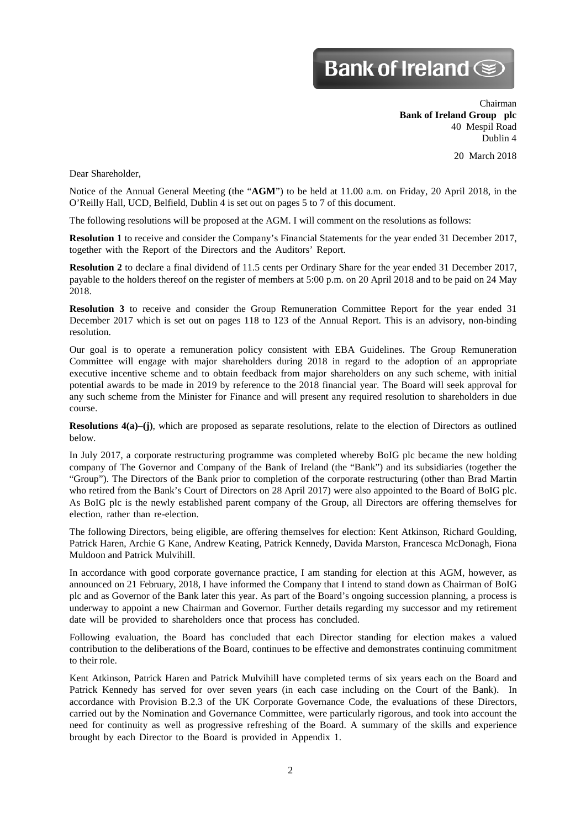# Bank of Ireland <sup>SS</sup>

Chairman **Bank of Ireland Group plc** 40 Mespil Road Dublin 4

20 March 2018

Dear Shareholder,

Notice of the Annual General Meeting (the "**AGM**") to be held at 11.00 a.m. on Friday, 20 April 2018, in the O'Reilly Hall, UCD, Belfield, Dublin 4 is set out on pages 5 to 7 of this document.

The following resolutions will be proposed at the AGM. I will comment on the resolutions as follows:

**Resolution 1** to receive and consider the Company's Financial Statements for the year ended 31 December 2017, together with the Report of the Directors and the Auditors' Report.

**Resolution 2** to declare a final dividend of 11.5 cents per Ordinary Share for the year ended 31 December 2017, payable to the holders thereof on the register of members at 5:00 p.m. on 20 April 2018 and to be paid on 24 May 2018.

**Resolution 3** to receive and consider the Group Remuneration Committee Report for the year ended 31 December 2017 which is set out on pages 118 to 123 of the Annual Report. This is an advisory, non-binding resolution.

Our goal is to operate a remuneration policy consistent with EBA Guidelines. The Group Remuneration Committee will engage with major shareholders during 2018 in regard to the adoption of an appropriate executive incentive scheme and to obtain feedback from major shareholders on any such scheme, with initial potential awards to be made in 2019 by reference to the 2018 financial year. The Board will seek approval for any such scheme from the Minister for Finance and will present any required resolution to shareholders in due course.

**Resolutions 4(a)–(j)**, which are proposed as separate resolutions, relate to the election of Directors as outlined below.

In July 2017, a corporate restructuring programme was completed whereby BoIG plc became the new holding company of The Governor and Company of the Bank of Ireland (the "Bank") and its subsidiaries (together the "Group"). The Directors of the Bank prior to completion of the corporate restructuring (other than Brad Martin who retired from the Bank's Court of Directors on 28 April 2017) were also appointed to the Board of BoIG plc. As BoIG plc is the newly established parent company of the Group, all Directors are offering themselves for election, rather than re-election.

The following Directors, being eligible, are offering themselves for election: Kent Atkinson, Richard Goulding, Patrick Haren, Archie G Kane, Andrew Keating, Patrick Kennedy, Davida Marston, Francesca McDonagh, Fiona Muldoon and Patrick Mulvihill.

In accordance with good corporate governance practice, I am standing for election at this AGM, however, as announced on 21 February, 2018, I have informed the Company that I intend to stand down as Chairman of BoIG plc and as Governor of the Bank later this year. As part of the Board's ongoing succession planning, a process is underway to appoint a new Chairman and Governor. Further details regarding my successor and my retirement date will be provided to shareholders once that process has concluded.

Following evaluation, the Board has concluded that each Director standing for election makes a valued contribution to the deliberations of the Board, continues to be effective and demonstrates continuing commitment to their role.

Kent Atkinson, Patrick Haren and Patrick Mulvihill have completed terms of six years each on the Board and Patrick Kennedy has served for over seven years (in each case including on the Court of the Bank). In accordance with Provision B.2.3 of the UK Corporate Governance Code, the evaluations of these Directors, carried out by the Nomination and Governance Committee, were particularly rigorous, and took into account the need for continuity as well as progressive refreshing of the Board. A summary of the skills and experience brought by each Director to the Board is provided in Appendix 1.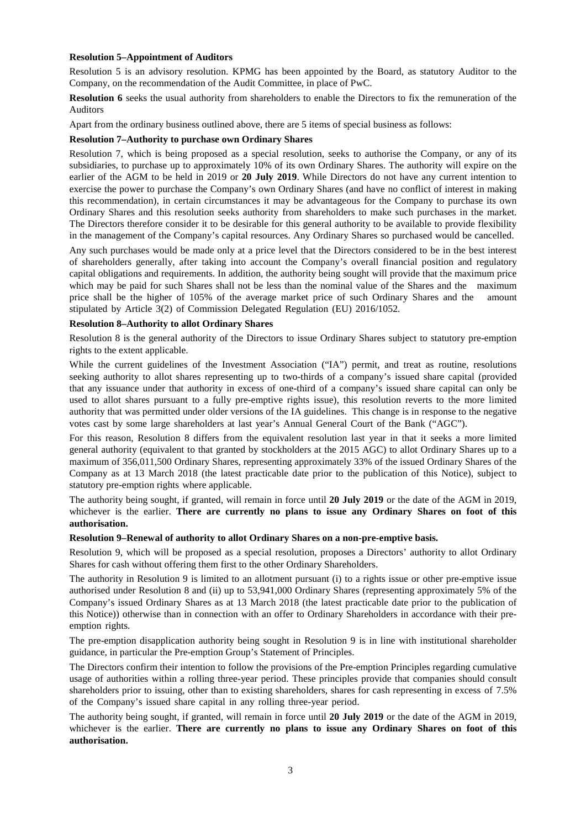#### **Resolution 5–Appointment of Auditors**

Resolution 5 is an advisory resolution. KPMG has been appointed by the Board, as statutory Auditor to the Company, on the recommendation of the Audit Committee, in place of PwC.

**Resolution 6** seeks the usual authority from shareholders to enable the Directors to fix the remuneration of the Auditors

Apart from the ordinary business outlined above, there are 5 items of special business as follows:

#### **Resolution 7–Authority to purchase own Ordinary Shares**

Resolution 7, which is being proposed as a special resolution, seeks to authorise the Company, or any of its subsidiaries, to purchase up to approximately 10% of its own Ordinary Shares. The authority will expire on the earlier of the AGM to be held in 2019 or **20 July 2019**. While Directors do not have any current intention to exercise the power to purchase the Company's own Ordinary Shares (and have no conflict of interest in making this recommendation), in certain circumstances it may be advantageous for the Company to purchase its own Ordinary Shares and this resolution seeks authority from shareholders to make such purchases in the market. The Directors therefore consider it to be desirable for this general authority to be available to provide flexibility in the management of the Company's capital resources. Any Ordinary Shares so purchased would be cancelled.

Any such purchases would be made only at a price level that the Directors considered to be in the best interest of shareholders generally, after taking into account the Company's overall financial position and regulatory capital obligations and requirements. In addition, the authority being sought will provide that the maximum price which may be paid for such Shares shall not be less than the nominal value of the Shares and the maximum price shall be the higher of 105% of the average market price of such Ordinary Shares and the amount stipulated by Article 3(2) of Commission Delegated Regulation (EU) 2016/1052.

## **Resolution 8–Authority to allot Ordinary Shares**

Resolution 8 is the general authority of the Directors to issue Ordinary Shares subject to statutory pre-emption rights to the extent applicable.

While the current guidelines of the Investment Association ("IA") permit, and treat as routine, resolutions seeking authority to allot shares representing up to two-thirds of a company's issued share capital (provided that any issuance under that authority in excess of one-third of a company's issued share capital can only be used to allot shares pursuant to a fully pre-emptive rights issue), this resolution reverts to the more limited authority that was permitted under older versions of the IA guidelines. This change is in response to the negative votes cast by some large shareholders at last year's Annual General Court of the Bank ("AGC").

For this reason, Resolution 8 differs from the equivalent resolution last year in that it seeks a more limited general authority (equivalent to that granted by stockholders at the 2015 AGC) to allot Ordinary Shares up to a maximum of 356,011,500 Ordinary Shares, representing approximately 33% of the issued Ordinary Shares of the Company as at 13 March 2018 (the latest practicable date prior to the publication of this Notice), subject to statutory pre-emption rights where applicable.

The authority being sought, if granted, will remain in force until **20 July 2019** or the date of the AGM in 2019, whichever is the earlier. **There are currently no plans to issue any Ordinary Shares on foot of this authorisation.**

#### **Resolution 9–Renewal of authority to allot Ordinary Shares on a non-pre-emptive basis.**

Resolution 9, which will be proposed as a special resolution, proposes a Directors' authority to allot Ordinary Shares for cash without offering them first to the other Ordinary Shareholders.

The authority in Resolution 9 is limited to an allotment pursuant (i) to a rights issue or other pre-emptive issue authorised under Resolution 8 and (ii) up to 53,941,000 Ordinary Shares (representing approximately 5% of the Company's issued Ordinary Shares as at 13 March 2018 (the latest practicable date prior to the publication of this Notice)) otherwise than in connection with an offer to Ordinary Shareholders in accordance with their preemption rights.

The pre-emption disapplication authority being sought in Resolution 9 is in line with institutional shareholder guidance, in particular the Pre-emption Group's Statement of Principles.

The Directors confirm their intention to follow the provisions of the Pre-emption Principles regarding cumulative usage of authorities within a rolling three-year period. These principles provide that companies should consult shareholders prior to issuing, other than to existing shareholders, shares for cash representing in excess of 7.5% of the Company's issued share capital in any rolling three-year period.

The authority being sought, if granted, will remain in force until **20 July 2019** or the date of the AGM in 2019, whichever is the earlier. **There are currently no plans to issue any Ordinary Shares on foot of this authorisation.**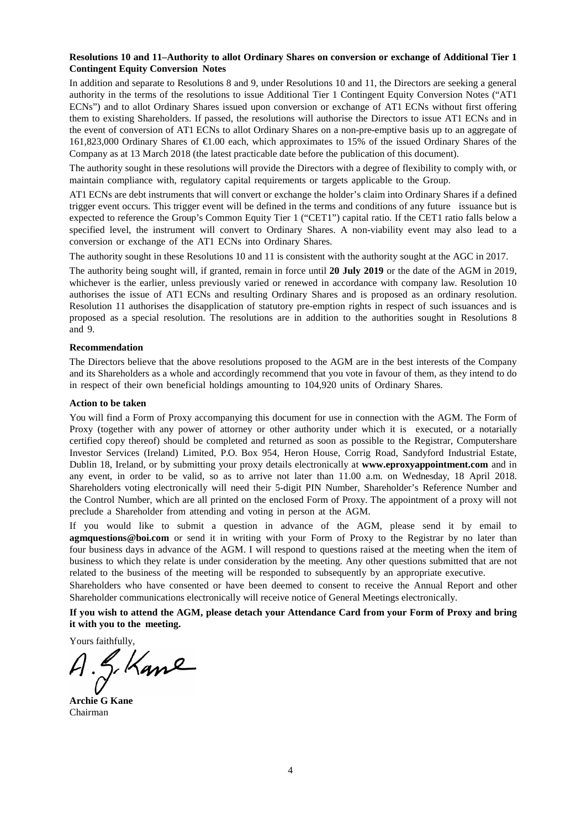## **Resolutions 10 and 11–Authority to allot Ordinary Shares on conversion or exchange of Additional Tier 1 Contingent Equity Conversion Notes**

In addition and separate to Resolutions 8 and 9, under Resolutions 10 and 11, the Directors are seeking a general authority in the terms of the resolutions to issue Additional Tier 1 Contingent Equity Conversion Notes ("AT1 ECNs") and to allot Ordinary Shares issued upon conversion or exchange of AT1 ECNs without first offering them to existing Shareholders. If passed, the resolutions will authorise the Directors to issue AT1 ECNs and in the event of conversion of AT1 ECNs to allot Ordinary Shares on a non-pre-emptive basis up to an aggregate of 161,823,000 Ordinary Shares of €1.00 each, which approximates to 15% of the issued Ordinary Shares of the Company as at 13 March 2018 (the latest practicable date before the publication of this document).

The authority sought in these resolutions will provide the Directors with a degree of flexibility to comply with, or maintain compliance with, regulatory capital requirements or targets applicable to the Group.

AT1 ECNs are debt instruments that will convert or exchange the holder's claim into Ordinary Shares if a defined trigger event occurs. This trigger event will be defined in the terms and conditions of any future issuance but is expected to reference the Group's Common Equity Tier 1 ("CET1") capital ratio. If the CET1 ratio falls below a specified level, the instrument will convert to Ordinary Shares. A non-viability event may also lead to a conversion or exchange of the AT1 ECNs into Ordinary Shares.

The authority sought in these Resolutions 10 and 11 is consistent with the authority sought at the AGC in 2017.

The authority being sought will, if granted, remain in force until **20 July 2019** or the date of the AGM in 2019, whichever is the earlier, unless previously varied or renewed in accordance with company law. Resolution 10 authorises the issue of AT1 ECNs and resulting Ordinary Shares and is proposed as an ordinary resolution. Resolution 11 authorises the disapplication of statutory pre-emption rights in respect of such issuances and is proposed as a special resolution. The resolutions are in addition to the authorities sought in Resolutions 8 and 9.

#### **Recommendation**

The Directors believe that the above resolutions proposed to the AGM are in the best interests of the Company and its Shareholders as a whole and accordingly recommend that you vote in favour of them, as they intend to do in respect of their own beneficial holdings amounting to 104,920 units of Ordinary Shares.

#### **Action to be taken**

You will find a Form of Proxy accompanying this document for use in connection with the AGM. The Form of Proxy (together with any power of attorney or other authority under which it is executed, or a notarially certified copy thereof) should be completed and returned as soon as possible to the Registrar, Computershare Investor Services (Ireland) Limited, P.O. Box 954, Heron House, Corrig Road, Sandyford Industrial Estate, Dublin 18, Ireland, or by submitting your proxy details electronically at **[www.eproxyappointment.com](http://www.eproxyappointment.com/)** and in any event, in order to be valid, so as to arrive not later than 11.00 a.m. on Wednesday, 18 April 2018. Shareholders voting electronically will need their 5-digit PIN Number, Shareholder's Reference Number and the Control Number, which are all printed on the enclosed Form of Proxy. The appointment of a proxy will not preclude a Shareholder from attending and voting in person at the AGM.

If you would like to submit a question in advance of the AGM, please send it by email to **[agmquestions@boi.com](mailto:agmquestions@boi.com)** or send it in writing with your Form of Proxy to the Registrar by no later than four business days in advance of the AGM. I will respond to questions raised at the meeting when the item of business to which they relate is under consideration by the meeting. Any other questions submitted that are not related to the business of the meeting will be responded to subsequently by an appropriate executive.

Shareholders who have consented or have been deemed to consent to receive the Annual Report and other Shareholder communications electronically will receive notice of General Meetings electronically.

**If you wish to attend the AGM, please detach your Attendance Card from your Form of Proxy and bring it with you to the meeting.**

Yours faithfully,

g. Kame

**Archie G Kane** Chairman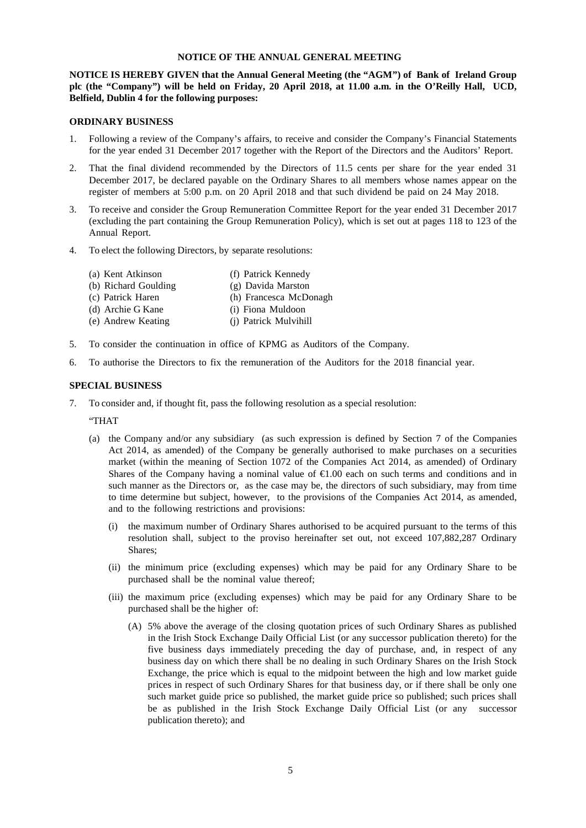#### **NOTICE OF THE ANNUAL GENERAL MEETING**

**NOTICE IS HEREBY GIVEN that the Annual General Meeting (the "AGM") of Bank of Ireland Group plc (the "Company") will be held on Friday, 20 April 2018, at 11.00 a.m. in the O'Reilly Hall, UCD, Belfield, Dublin 4 for the following purposes:**

#### **ORDINARY BUSINESS**

- 1. Following a review of the Company's affairs, to receive and consider the Company's Financial Statements for the year ended 31 December 2017 together with the Report of the Directors and the Auditors' Report.
- 2. That the final dividend recommended by the Directors of 11.5 cents per share for the year ended 31 December 2017, be declared payable on the Ordinary Shares to all members whose names appear on the register of members at 5:00 p.m. on 20 April 2018 and that such dividend be paid on 24 May 2018.
- 3. To receive and consider the Group Remuneration Committee Report for the year ended 31 December 2017 (excluding the part containing the Group Remuneration Policy), which is set out at pages 118 to 123 of the Annual Report.
- 4. To elect the following Directors, by separate resolutions:
	- (a) Kent Atkinson (f) Patrick Kennedy
	- (b) Richard Goulding (g) Davida Marston
	- (c) Patrick Haren (h) Francesca McDonagh
	- (d) Archie G Kane (i) Fiona Muldoon
	- (e) Andrew Keating (j) Patrick Mulvihill
- 5. To consider the continuation in office of KPMG as Auditors of the Company.
- 6. To authorise the Directors to fix the remuneration of the Auditors for the 2018 financial year.

#### **SPECIAL BUSINESS**

7. To consider and, if thought fit, pass the following resolution as a special resolution:

#### "THAT

- (a) the Company and/or any subsidiary (as such expression is defined by Section 7 of the Companies Act 2014, as amended) of the Company be generally authorised to make purchases on a securities market (within the meaning of Section 1072 of the Companies Act 2014, as amended) of Ordinary Shares of the Company having a nominal value of  $\epsilon 1.00$  each on such terms and conditions and in such manner as the Directors or, as the case may be, the directors of such subsidiary, may from time to time determine but subject, however, to the provisions of the Companies Act 2014, as amended, and to the following restrictions and provisions:
	- (i) the maximum number of Ordinary Shares authorised to be acquired pursuant to the terms of this resolution shall, subject to the proviso hereinafter set out, not exceed 107,882,287 Ordinary Shares;
	- (ii) the minimum price (excluding expenses) which may be paid for any Ordinary Share to be purchased shall be the nominal value thereof;
	- (iii) the maximum price (excluding expenses) which may be paid for any Ordinary Share to be purchased shall be the higher of:
		- (A) 5% above the average of the closing quotation prices of such Ordinary Shares as published in the Irish Stock Exchange Daily Official List (or any successor publication thereto) for the five business days immediately preceding the day of purchase, and, in respect of any business day on which there shall be no dealing in such Ordinary Shares on the Irish Stock Exchange, the price which is equal to the midpoint between the high and low market guide prices in respect of such Ordinary Shares for that business day, or if there shall be only one such market guide price so published, the market guide price so published; such prices shall be as published in the Irish Stock Exchange Daily Official List (or any successor publication thereto); and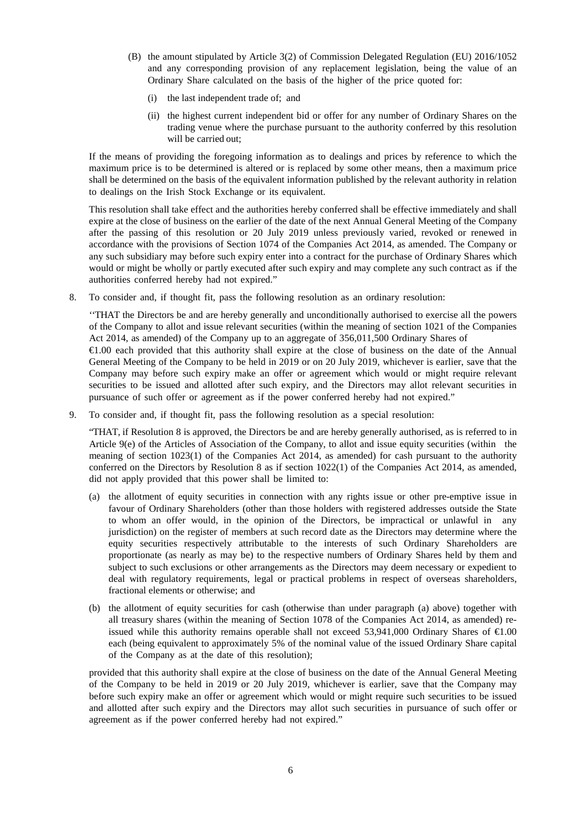- (B) the amount stipulated by Article 3(2) of Commission Delegated Regulation (EU) 2016/1052 and any corresponding provision of any replacement legislation, being the value of an Ordinary Share calculated on the basis of the higher of the price quoted for:
	- (i) the last independent trade of; and
	- (ii) the highest current independent bid or offer for any number of Ordinary Shares on the trading venue where the purchase pursuant to the authority conferred by this resolution will be carried out;

If the means of providing the foregoing information as to dealings and prices by reference to which the maximum price is to be determined is altered or is replaced by some other means, then a maximum price shall be determined on the basis of the equivalent information published by the relevant authority in relation to dealings on the Irish Stock Exchange or its equivalent.

This resolution shall take effect and the authorities hereby conferred shall be effective immediately and shall expire at the close of business on the earlier of the date of the next Annual General Meeting of the Company after the passing of this resolution or 20 July 2019 unless previously varied, revoked or renewed in accordance with the provisions of Section 1074 of the Companies Act 2014, as amended. The Company or any such subsidiary may before such expiry enter into a contract for the purchase of Ordinary Shares which would or might be wholly or partly executed after such expiry and may complete any such contract as if the authorities conferred hereby had not expired."

8. To consider and, if thought fit, pass the following resolution as an ordinary resolution:

''THAT the Directors be and are hereby generally and unconditionally authorised to exercise all the powers of the Company to allot and issue relevant securities (within the meaning of section 1021 of the Companies Act 2014, as amended) of the Company up to an aggregate of 356,011,500 Ordinary Shares of €1.00 each provided that this authority shall expire at the close of business on the date of the Annual General Meeting of the Company to be held in 2019 or on 20 July 2019, whichever is earlier, save that the Company may before such expiry make an offer or agreement which would or might require relevant securities to be issued and allotted after such expiry, and the Directors may allot relevant securities in pursuance of such offer or agreement as if the power conferred hereby had not expired."

9. To consider and, if thought fit, pass the following resolution as a special resolution:

"THAT, if Resolution 8 is approved, the Directors be and are hereby generally authorised, as is referred to in Article 9(e) of the Articles of Association of the Company, to allot and issue equity securities (within the meaning of section 1023(1) of the Companies Act 2014, as amended) for cash pursuant to the authority conferred on the Directors by Resolution 8 as if section 1022(1) of the Companies Act 2014, as amended, did not apply provided that this power shall be limited to:

- (a) the allotment of equity securities in connection with any rights issue or other pre-emptive issue in favour of Ordinary Shareholders (other than those holders with registered addresses outside the State to whom an offer would, in the opinion of the Directors, be impractical or unlawful in any jurisdiction) on the register of members at such record date as the Directors may determine where the equity securities respectively attributable to the interests of such Ordinary Shareholders are proportionate (as nearly as may be) to the respective numbers of Ordinary Shares held by them and subject to such exclusions or other arrangements as the Directors may deem necessary or expedient to deal with regulatory requirements, legal or practical problems in respect of overseas shareholders, fractional elements or otherwise; and
- (b) the allotment of equity securities for cash (otherwise than under paragraph (a) above) together with all treasury shares (within the meaning of Section 1078 of the Companies Act 2014, as amended) reissued while this authority remains operable shall not exceed 53,941,000 Ordinary Shares of €1.00 each (being equivalent to approximately 5% of the nominal value of the issued Ordinary Share capital of the Company as at the date of this resolution);

provided that this authority shall expire at the close of business on the date of the Annual General Meeting of the Company to be held in 2019 or 20 July 2019, whichever is earlier, save that the Company may before such expiry make an offer or agreement which would or might require such securities to be issued and allotted after such expiry and the Directors may allot such securities in pursuance of such offer or agreement as if the power conferred hereby had not expired."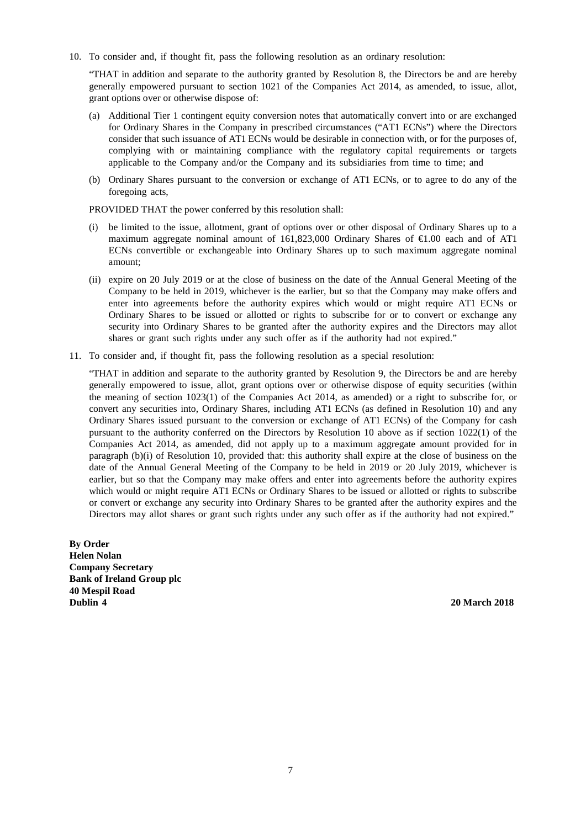10. To consider and, if thought fit, pass the following resolution as an ordinary resolution:

"THAT in addition and separate to the authority granted by Resolution 8, the Directors be and are hereby generally empowered pursuant to section 1021 of the Companies Act 2014, as amended, to issue, allot, grant options over or otherwise dispose of:

- (a) Additional Tier 1 contingent equity conversion notes that automatically convert into or are exchanged for Ordinary Shares in the Company in prescribed circumstances ("AT1 ECNs") where the Directors consider that such issuance of AT1 ECNs would be desirable in connection with, or for the purposes of, complying with or maintaining compliance with the regulatory capital requirements or targets applicable to the Company and/or the Company and its subsidiaries from time to time; and
- (b) Ordinary Shares pursuant to the conversion or exchange of AT1 ECNs, or to agree to do any of the foregoing acts,

PROVIDED THAT the power conferred by this resolution shall:

- (i) be limited to the issue, allotment, grant of options over or other disposal of Ordinary Shares up to a maximum aggregate nominal amount of 161,823,000 Ordinary Shares of €1.00 each and of AT1 ECNs convertible or exchangeable into Ordinary Shares up to such maximum aggregate nominal amount;
- (ii) expire on 20 July 2019 or at the close of business on the date of the Annual General Meeting of the Company to be held in 2019, whichever is the earlier, but so that the Company may make offers and enter into agreements before the authority expires which would or might require AT1 ECNs or Ordinary Shares to be issued or allotted or rights to subscribe for or to convert or exchange any security into Ordinary Shares to be granted after the authority expires and the Directors may allot shares or grant such rights under any such offer as if the authority had not expired."
- 11. To consider and, if thought fit, pass the following resolution as a special resolution:

"THAT in addition and separate to the authority granted by Resolution 9, the Directors be and are hereby generally empowered to issue, allot, grant options over or otherwise dispose of equity securities (within the meaning of section 1023(1) of the Companies Act 2014, as amended) or a right to subscribe for, or convert any securities into, Ordinary Shares, including AT1 ECNs (as defined in Resolution 10) and any Ordinary Shares issued pursuant to the conversion or exchange of AT1 ECNs) of the Company for cash pursuant to the authority conferred on the Directors by Resolution 10 above as if section 1022(1) of the Companies Act 2014, as amended, did not apply up to a maximum aggregate amount provided for in paragraph (b)(i) of Resolution 10, provided that: this authority shall expire at the close of business on the date of the Annual General Meeting of the Company to be held in 2019 or 20 July 2019, whichever is earlier, but so that the Company may make offers and enter into agreements before the authority expires which would or might require AT1 ECNs or Ordinary Shares to be issued or allotted or rights to subscribe or convert or exchange any security into Ordinary Shares to be granted after the authority expires and the Directors may allot shares or grant such rights under any such offer as if the authority had not expired."

**By Order Helen Nolan Company Secretary Bank of Ireland Group plc 40 Mespil Road Dublin 4 20 March 2018**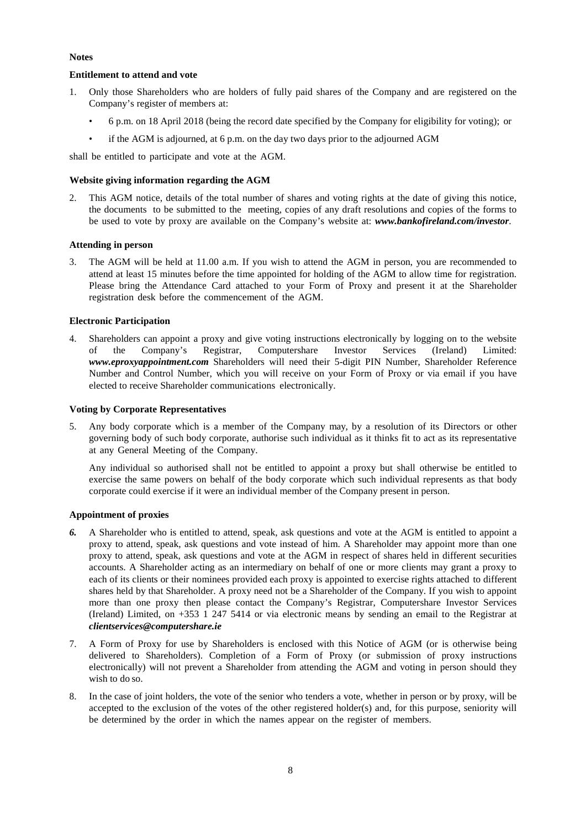## **Notes**

## **Entitlement to attend and vote**

- 1. Only those Shareholders who are holders of fully paid shares of the Company and are registered on the Company's register of members at:
	- 6 p.m. on 18 April 2018 (being the record date specified by the Company for eligibility for voting); or
	- if the AGM is adjourned, at 6 p.m. on the day two days prior to the adjourned AGM

shall be entitled to participate and vote at the AGM.

## **Website giving information regarding the AGM**

2. This AGM notice, details of the total number of shares and voting rights at the date of giving this notice, the documents to be submitted to the meeting, copies of any draft resolutions and copies of the forms to be used to vote by proxy are available on the Company's website at: *[www.bankofireland.com/investor](http://www.bankofireland.com/investor)*.

## **Attending in person**

The AGM will be held at 11.00 a.m. If you wish to attend the AGM in person, you are recommended to attend at least 15 minutes before the time appointed for holding of the AGM to allow time for registration. Please bring the Attendance Card attached to your Form of Proxy and present it at the Shareholder registration desk before the commencement of the AGM.

## **Electronic Participation**

4. Shareholders can appoint a proxy and give voting instructions electronically by logging on to the website of the Company's Registrar, Computershare Investor Services (Ireland) Limited: of the Company's Registrar, Computershare Investor Services (Ireland) Limited: *[www.eproxyappointment.com](http://www.eproxyappointment.com/)* Shareholders will need their 5-digit PIN Number, Shareholder Reference Number and Control Number, which you will receive on your Form of Proxy or via email if you have elected to receive Shareholder communications electronically.

## **Voting by Corporate Representatives**

5. Any body corporate which is a member of the Company may, by a resolution of its Directors or other governing body of such body corporate, authorise such individual as it thinks fit to act as its representative at any General Meeting of the Company.

Any individual so authorised shall not be entitled to appoint a proxy but shall otherwise be entitled to exercise the same powers on behalf of the body corporate which such individual represents as that body corporate could exercise if it were an individual member of the Company present in person.

## **Appointment of proxies**

- *6.* A Shareholder who is entitled to attend, speak, ask questions and vote at the AGM is entitled to appoint a proxy to attend, speak, ask questions and vote instead of him. A Shareholder may appoint more than one proxy to attend, speak, ask questions and vote at the AGM in respect of shares held in different securities accounts. A Shareholder acting as an intermediary on behalf of one or more clients may grant a proxy to each of its clients or their nominees provided each proxy is appointed to exercise rights attached to different shares held by that Shareholder. A proxy need not be a Shareholder of the Company. If you wish to appoint more than one proxy then please contact the Company's Registrar, Computershare Investor Services (Ireland) Limited, on +353 1 247 5414 or via electronic means by sending an email to the Registrar at *[clientservices@computershare.ie](mailto:clientservices@computershare.ie)*
- 7. A Form of Proxy for use by Shareholders is enclosed with this Notice of AGM (or is otherwise being delivered to Shareholders). Completion of a Form of Proxy (or submission of proxy instructions electronically) will not prevent a Shareholder from attending the AGM and voting in person should they wish to do so.
- 8. In the case of joint holders, the vote of the senior who tenders a vote, whether in person or by proxy, will be accepted to the exclusion of the votes of the other registered holder(s) and, for this purpose, seniority will be determined by the order in which the names appear on the register of members.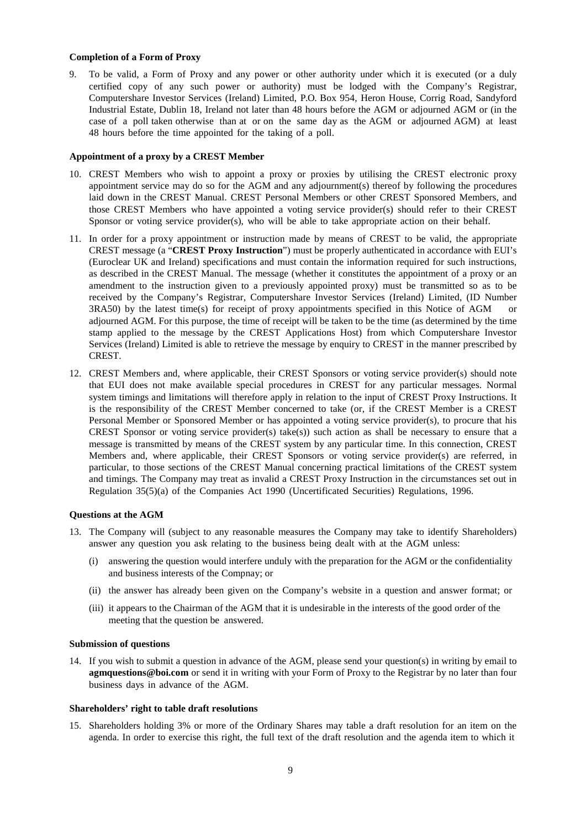#### **Completion of a Form of Proxy**

9. To be valid, a Form of Proxy and any power or other authority under which it is executed (or a duly certified copy of any such power or authority) must be lodged with the Company's Registrar, Computershare Investor Services (Ireland) Limited, P.O. Box 954, Heron House, Corrig Road, Sandyford Industrial Estate, Dublin 18, Ireland not later than 48 hours before the AGM or adjourned AGM or (in the case of a poll taken otherwise than at or on the same day as the AGM or adjourned AGM) at least 48 hours before the time appointed for the taking of a poll.

#### **Appointment of a proxy by a CREST Member**

- 10. CREST Members who wish to appoint a proxy or proxies by utilising the CREST electronic proxy appointment service may do so for the AGM and any adjournment(s) thereof by following the procedures laid down in the CREST Manual. CREST Personal Members or other CREST Sponsored Members, and those CREST Members who have appointed a voting service provider(s) should refer to their CREST Sponsor or voting service provider(s), who will be able to take appropriate action on their behalf.
- 11. In order for a proxy appointment or instruction made by means of CREST to be valid, the appropriate CREST message (a "**CREST Proxy Instruction**") must be properly authenticated in accordance with EUI's (Euroclear UK and Ireland) specifications and must contain the information required for such instructions, as described in the CREST Manual. The message (whether it constitutes the appointment of a proxy or an amendment to the instruction given to a previously appointed proxy) must be transmitted so as to be received by the Company's Registrar, Computershare Investor Services (Ireland) Limited, (ID Number 3RA50) by the latest time(s) for receipt of proxy appointments specified in this Notice of AGM or adjourned AGM. For this purpose, the time of receipt will be taken to be the time (as determined by the time stamp applied to the message by the CREST Applications Host) from which Computershare Investor Services (Ireland) Limited is able to retrieve the message by enquiry to CREST in the manner prescribed by CREST.
- 12. CREST Members and, where applicable, their CREST Sponsors or voting service provider(s) should note that EUI does not make available special procedures in CREST for any particular messages. Normal system timings and limitations will therefore apply in relation to the input of CREST Proxy Instructions. It is the responsibility of the CREST Member concerned to take (or, if the CREST Member is a CREST Personal Member or Sponsored Member or has appointed a voting service provider(s), to procure that his CREST Sponsor or voting service provider(s) take(s)) such action as shall be necessary to ensure that a message is transmitted by means of the CREST system by any particular time. In this connection, CREST Members and, where applicable, their CREST Sponsors or voting service provider(s) are referred, in particular, to those sections of the CREST Manual concerning practical limitations of the CREST system and timings. The Company may treat as invalid a CREST Proxy Instruction in the circumstances set out in Regulation 35(5)(a) of the Companies Act 1990 (Uncertificated Securities) Regulations, 1996.

#### **Questions at the AGM**

- 13. The Company will (subject to any reasonable measures the Company may take to identify Shareholders) answer any question you ask relating to the business being dealt with at the AGM unless:
	- (i) answering the question would interfere unduly with the preparation for the AGM or the confidentiality and business interests of the Compnay; or
	- (ii) the answer has already been given on the Company's website in a question and answer format; or
	- (iii) it appears to the Chairman of the AGM that it is undesirable in the interests of the good order of the meeting that the question be answered.

## **Submission of questions**

14. If you wish to submit a question in advance of the AGM, please send your question(s) in writing by email to **[agmquestions@boi.com](mailto:agmquestions@boi.com)** or send it in writing with your Form of Proxy to the Registrar by no later than four business days in advance of the AGM.

#### **Shareholders' right to table draft resolutions**

15. Shareholders holding 3% or more of the Ordinary Shares may table a draft resolution for an item on the agenda. In order to exercise this right, the full text of the draft resolution and the agenda item to which it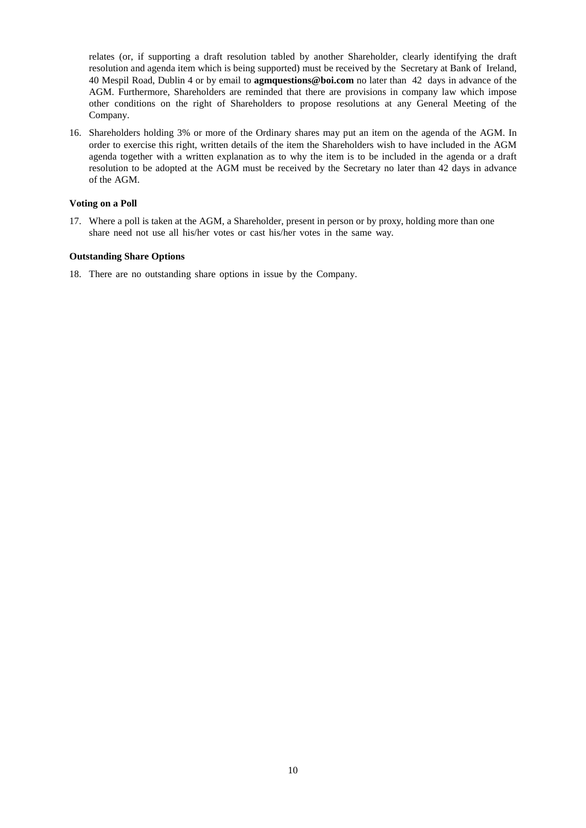relates (or, if supporting a draft resolution tabled by another Shareholder, clearly identifying the draft resolution and agenda item which is being supported) must be received by the Secretary at Bank of Ireland, 40 Mespil Road, Dublin 4 or by email to **[agmquestions@boi.com](mailto:agmquestions@boi.com)** no later than 42 days in advance of the AGM. Furthermore, Shareholders are reminded that there are provisions in company law which impose other conditions on the right of Shareholders to propose resolutions at any General Meeting of the Company.

16. Shareholders holding 3% or more of the Ordinary shares may put an item on the agenda of the AGM. In order to exercise this right, written details of the item the Shareholders wish to have included in the AGM agenda together with a written explanation as to why the item is to be included in the agenda or a draft resolution to be adopted at the AGM must be received by the Secretary no later than 42 days in advance of the AGM.

## **Voting on a Poll**

17. Where a poll is taken at the AGM, a Shareholder, present in person or by proxy, holding more than one share need not use all his/her votes or cast his/her votes in the same way.

#### **Outstanding Share Options**

18. There are no outstanding share options in issue by the Company.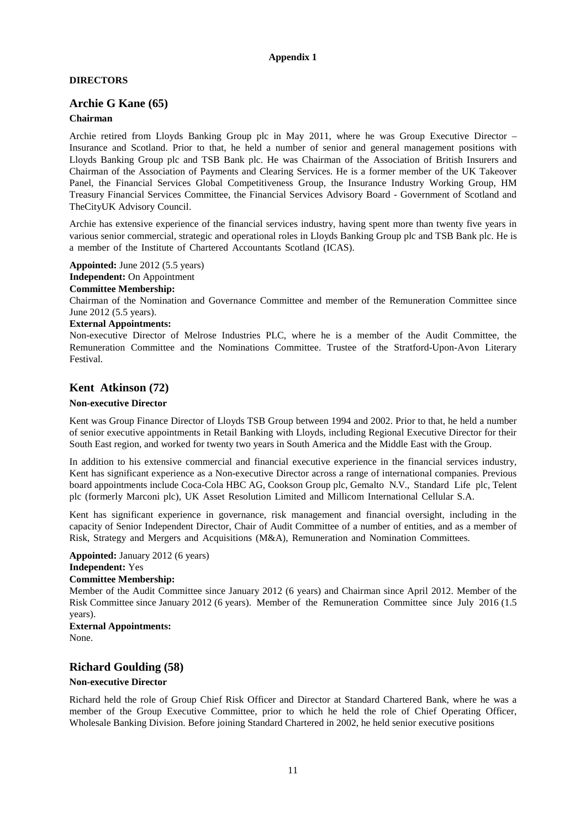## **Appendix 1**

## **DIRECTORS**

## **Archie G Kane (65)**

## **Chairman**

Archie retired from Lloyds Banking Group plc in May 2011, where he was Group Executive Director – Insurance and Scotland. Prior to that, he held a number of senior and general management positions with Lloyds Banking Group plc and TSB Bank plc. He was Chairman of the Association of British Insurers and Chairman of the Association of Payments and Clearing Services. He is a former member of the UK Takeover Panel, the Financial Services Global Competitiveness Group, the Insurance Industry Working Group, HM Treasury Financial Services Committee, the Financial Services Advisory Board - Government of Scotland and TheCityUK Advisory Council.

Archie has extensive experience of the financial services industry, having spent more than twenty five years in various senior commercial, strategic and operational roles in Lloyds Banking Group plc and TSB Bank plc. He is a member of the Institute of Chartered Accountants Scotland (ICAS).

**Appointed:** June 2012 (5.5 years) **Independent:** On Appointment **Committee Membership:**

Chairman of the Nomination and Governance Committee and member of the Remuneration Committee since June 2012 (5.5 years).

#### **External Appointments:**

Non-executive Director of Melrose Industries PLC, where he is a member of the Audit Committee, the Remuneration Committee and the Nominations Committee. Trustee of the Stratford-Upon-Avon Literary Festival.

## **Kent Atkinson (72)**

#### **Non-executive Director**

Kent was Group Finance Director of Lloyds TSB Group between 1994 and 2002. Prior to that, he held a number of senior executive appointments in Retail Banking with Lloyds, including Regional Executive Director for their South East region, and worked for twenty two years in South America and the Middle East with the Group.

In addition to his extensive commercial and financial executive experience in the financial services industry, Kent has significant experience as a Non-executive Director across a range of international companies. Previous board appointments include Coca-Cola HBC AG, Cookson Group plc, Gemalto N.V., Standard Life plc, Telent plc (formerly Marconi plc), UK Asset Resolution Limited and Millicom International Cellular S.A.

Kent has significant experience in governance, risk management and financial oversight, including in the capacity of Senior Independent Director, Chair of Audit Committee of a number of entities, and as a member of Risk, Strategy and Mergers and Acquisitions (M&A), Remuneration and Nomination Committees.

**Appointed:** January 2012 (6 years) **Independent:** Yes **Committee Membership:**

Member of the Audit Committee since January 2012 (6 years) and Chairman since April 2012. Member of the Risk Committee since January 2012 (6 years). Member of the Remuneration Committee since July 2016 (1.5 years).

**External Appointments:** None.

## **Richard Goulding (58)**

#### **Non-executive Director**

Richard held the role of Group Chief Risk Officer and Director at Standard Chartered Bank, where he was a member of the Group Executive Committee, prior to which he held the role of Chief Operating Officer, Wholesale Banking Division. Before joining Standard Chartered in 2002, he held senior executive positions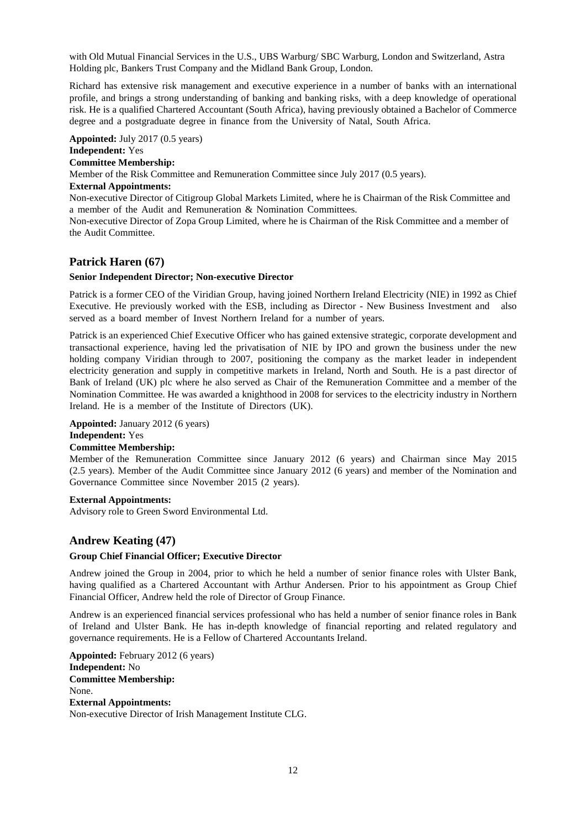with Old Mutual Financial Services in the U.S., UBS Warburg/ SBC Warburg, London and Switzerland, Astra Holding plc, Bankers Trust Company and the Midland Bank Group, London.

Richard has extensive risk management and executive experience in a number of banks with an international profile, and brings a strong understanding of banking and banking risks, with a deep knowledge of operational risk. He is a qualified Chartered Accountant (South Africa), having previously obtained a Bachelor of Commerce degree and a postgraduate degree in finance from the University of Natal, South Africa.

**Appointed:** July 2017 (0.5 years)

## **Independent:** Yes

## **Committee Membership:**

Member of the Risk Committee and Remuneration Committee since July 2017 (0.5 years).

#### **External Appointments:**

Non-executive Director of Citigroup Global Markets Limited, where he is Chairman of the Risk Committee and a member of the Audit and Remuneration & Nomination Committees.

Non-executive Director of Zopa Group Limited, where he is Chairman of the Risk Committee and a member of the Audit Committee.

## **Patrick Haren (67)**

#### **Senior Independent Director; Non-executive Director**

Patrick is a former CEO of the Viridian Group, having joined Northern Ireland Electricity (NIE) in 1992 as Chief Executive. He previously worked with the ESB, including as Director - New Business Investment and also served as a board member of Invest Northern Ireland for a number of years.

Patrick is an experienced Chief Executive Officer who has gained extensive strategic, corporate development and transactional experience, having led the privatisation of NIE by IPO and grown the business under the new holding company Viridian through to 2007, positioning the company as the market leader in independent electricity generation and supply in competitive markets in Ireland, North and South. He is a past director of Bank of Ireland (UK) plc where he also served as Chair of the Remuneration Committee and a member of the Nomination Committee. He was awarded a knighthood in 2008 for services to the electricity industry in Northern Ireland. He is a member of the Institute of Directors (UK).

## **Appointed:** January 2012 (6 years)

**Independent:** Yes

#### **Committee Membership:**

Member of the Remuneration Committee since January 2012 (6 years) and Chairman since May 2015 (2.5 years). Member of the Audit Committee since January 2012 (6 years) and member of the Nomination and Governance Committee since November 2015 (2 years).

## **External Appointments:**

Advisory role to Green Sword Environmental Ltd.

## **Andrew Keating (47)**

## **Group Chief Financial Officer; Executive Director**

Andrew joined the Group in 2004, prior to which he held a number of senior finance roles with Ulster Bank, having qualified as a Chartered Accountant with Arthur Andersen. Prior to his appointment as Group Chief Financial Officer, Andrew held the role of Director of Group Finance.

Andrew is an experienced financial services professional who has held a number of senior finance roles in Bank of Ireland and Ulster Bank. He has in-depth knowledge of financial reporting and related regulatory and governance requirements. He is a Fellow of Chartered Accountants Ireland.

**Appointed:** February 2012 (6 years) **Independent:** No **Committee Membership:**  None. **External Appointments:** Non-executive Director of Irish Management Institute CLG.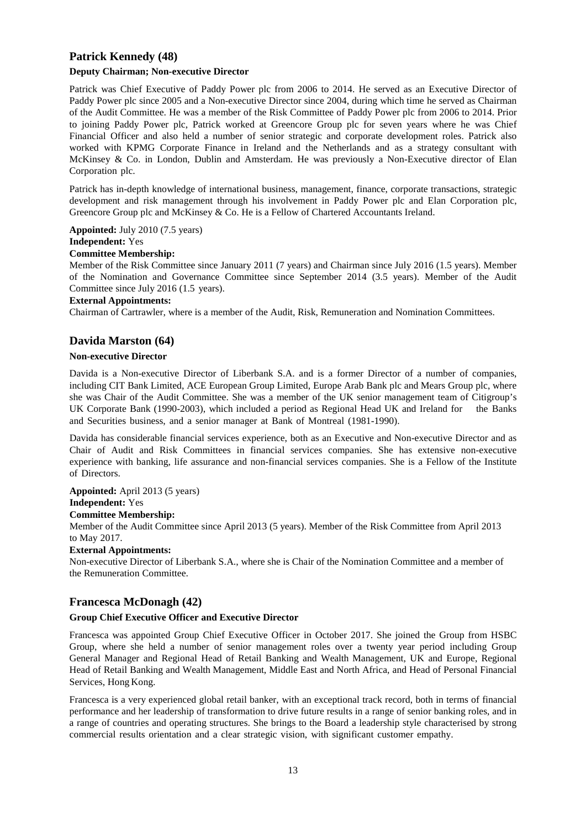## **Patrick Kennedy (48)**

## **Deputy Chairman; Non-executive Director**

Patrick was Chief Executive of Paddy Power plc from 2006 to 2014. He served as an Executive Director of Paddy Power plc since 2005 and a Non-executive Director since 2004, during which time he served as Chairman of the Audit Committee. He was a member of the Risk Committee of Paddy Power plc from 2006 to 2014. Prior to joining Paddy Power plc, Patrick worked at Greencore Group plc for seven years where he was Chief Financial Officer and also held a number of senior strategic and corporate development roles. Patrick also worked with KPMG Corporate Finance in Ireland and the Netherlands and as a strategy consultant with McKinsey & Co. in London, Dublin and Amsterdam. He was previously a Non-Executive director of Elan Corporation plc.

Patrick has in-depth knowledge of international business, management, finance, corporate transactions, strategic development and risk management through his involvement in Paddy Power plc and Elan Corporation plc, Greencore Group plc and McKinsey & Co. He is a Fellow of Chartered Accountants Ireland.

**Appointed:** July 2010 (7.5 years)

## **Independent:** Yes

#### **Committee Membership:**

Member of the Risk Committee since January 2011 (7 years) and Chairman since July 2016 (1.5 years). Member of the Nomination and Governance Committee since September 2014 (3.5 years). Member of the Audit Committee since July 2016 (1.5 years).

#### **External Appointments:**

Chairman of Cartrawler, where is a member of the Audit, Risk, Remuneration and Nomination Committees.

## **Davida Marston (64)**

## **Non-executive Director**

Davida is a Non-executive Director of Liberbank S.A. and is a former Director of a number of companies, including CIT Bank Limited, ACE European Group Limited, Europe Arab Bank plc and Mears Group plc, where she was Chair of the Audit Committee. She was a member of the UK senior management team of Citigroup's UK Corporate Bank (1990-2003), which included a period as Regional Head UK and Ireland for the Banks and Securities business, and a senior manager at Bank of Montreal (1981-1990).

Davida has considerable financial services experience, both as an Executive and Non-executive Director and as Chair of Audit and Risk Committees in financial services companies. She has extensive non-executive experience with banking, life assurance and non-financial services companies. She is a Fellow of the Institute of Directors.

# **Appointed:** April 2013 (5 years)

**Independent:** Yes

## **Committee Membership:**

Member of the Audit Committee since April 2013 (5 years). Member of the Risk Committee from April 2013 to May 2017.

## **External Appointments:**

Non-executive Director of Liberbank S.A., where she is Chair of the Nomination Committee and a member of the Remuneration Committee.

## **Francesca McDonagh (42)**

## **Group Chief Executive Officer and Executive Director**

Francesca was appointed Group Chief Executive Officer in October 2017. She joined the Group from HSBC Group, where she held a number of senior management roles over a twenty year period including Group General Manager and Regional Head of Retail Banking and Wealth Management, UK and Europe, Regional Head of Retail Banking and Wealth Management, Middle East and North Africa, and Head of Personal Financial Services, Hong Kong.

Francesca is a very experienced global retail banker, with an exceptional track record, both in terms of financial performance and her leadership of transformation to drive future results in a range of senior banking roles, and in a range of countries and operating structures. She brings to the Board a leadership style characterised by strong commercial results orientation and a clear strategic vision, with significant customer empathy.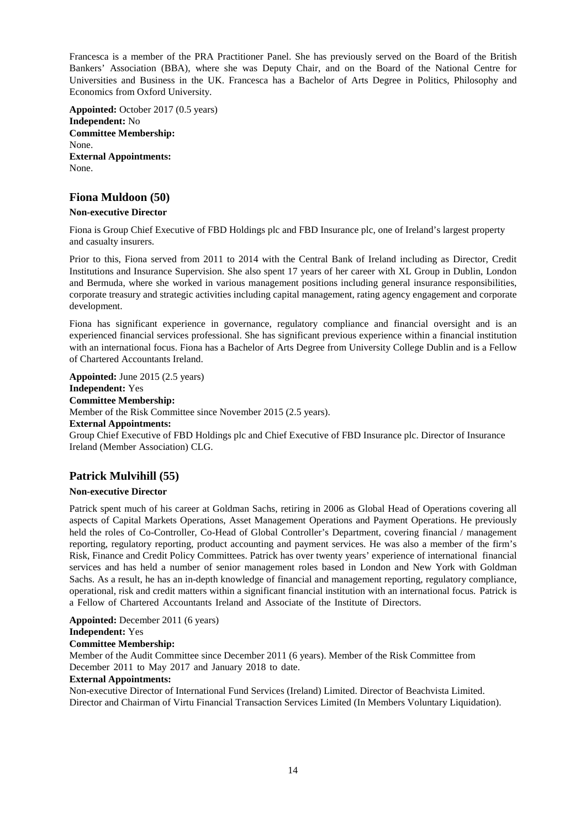Francesca is a member of the PRA Practitioner Panel. She has previously served on the Board of the British Bankers' Association (BBA), where she was Deputy Chair, and on the Board of the National Centre for Universities and Business in the UK. Francesca has a Bachelor of Arts Degree in Politics, Philosophy and Economics from Oxford University.

**Appointed:** October 2017 (0.5 years) **Independent:** No **Committee Membership:**  None. **External Appointments:** None.

## **Fiona Muldoon (50)**

## **Non-executive Director**

Fiona is Group Chief Executive of FBD Holdings plc and FBD Insurance plc, one of Ireland's largest property and casualty insurers.

Prior to this, Fiona served from 2011 to 2014 with the Central Bank of Ireland including as Director, Credit Institutions and Insurance Supervision. She also spent 17 years of her career with XL Group in Dublin, London and Bermuda, where she worked in various management positions including general insurance responsibilities, corporate treasury and strategic activities including capital management, rating agency engagement and corporate development.

Fiona has significant experience in governance, regulatory compliance and financial oversight and is an experienced financial services professional. She has significant previous experience within a financial institution with an international focus. Fiona has a Bachelor of Arts Degree from University College Dublin and is a Fellow of Chartered Accountants Ireland.

**Appointed:** June 2015 (2.5 years) **Independent:** Yes **Committee Membership:** Member of the Risk Committee since November 2015 (2.5 years). **External Appointments:** Group Chief Executive of FBD Holdings plc and Chief Executive of FBD Insurance plc. Director of Insurance

# **Patrick Mulvihill (55)**

Ireland (Member Association) CLG.

## **Non-executive Director**

Patrick spent much of his career at Goldman Sachs, retiring in 2006 as Global Head of Operations covering all aspects of Capital Markets Operations, Asset Management Operations and Payment Operations. He previously held the roles of Co-Controller, Co-Head of Global Controller's Department, covering financial / management reporting, regulatory reporting, product accounting and payment services. He was also a member of the firm's Risk, Finance and Credit Policy Committees. Patrick has over twenty years' experience of international financial services and has held a number of senior management roles based in London and New York with Goldman Sachs. As a result, he has an in-depth knowledge of financial and management reporting, regulatory compliance, operational, risk and credit matters within a significant financial institution with an international focus. Patrick is a Fellow of Chartered Accountants Ireland and Associate of the Institute of Directors.

**Appointed:** December 2011 (6 years) **Independent:** Yes **Committee Membership:**

Member of the Audit Committee since December 2011 (6 years). Member of the Risk Committee from December 2011 to May 2017 and January 2018 to date.

## **External Appointments:**

Non-executive Director of International Fund Services (Ireland) Limited. Director of Beachvista Limited. Director and Chairman of Virtu Financial Transaction Services Limited (In Members Voluntary Liquidation).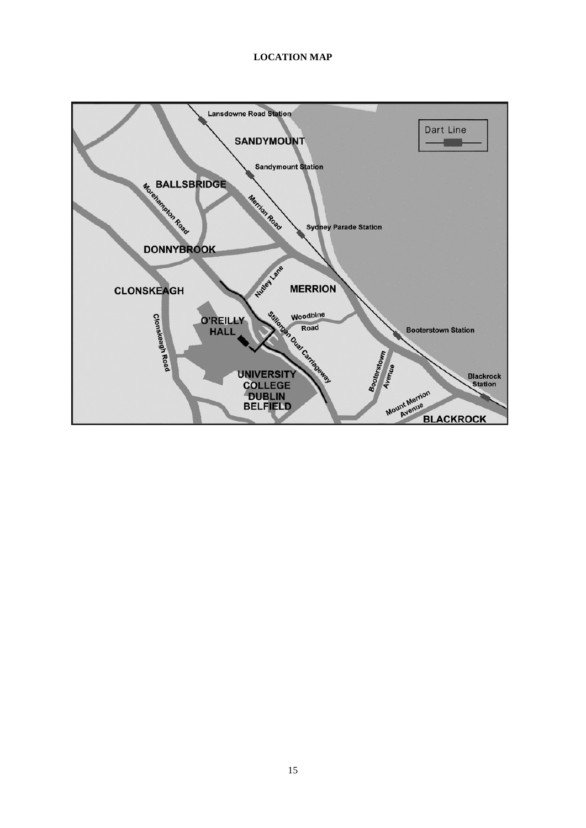## **LOCATION MAP**